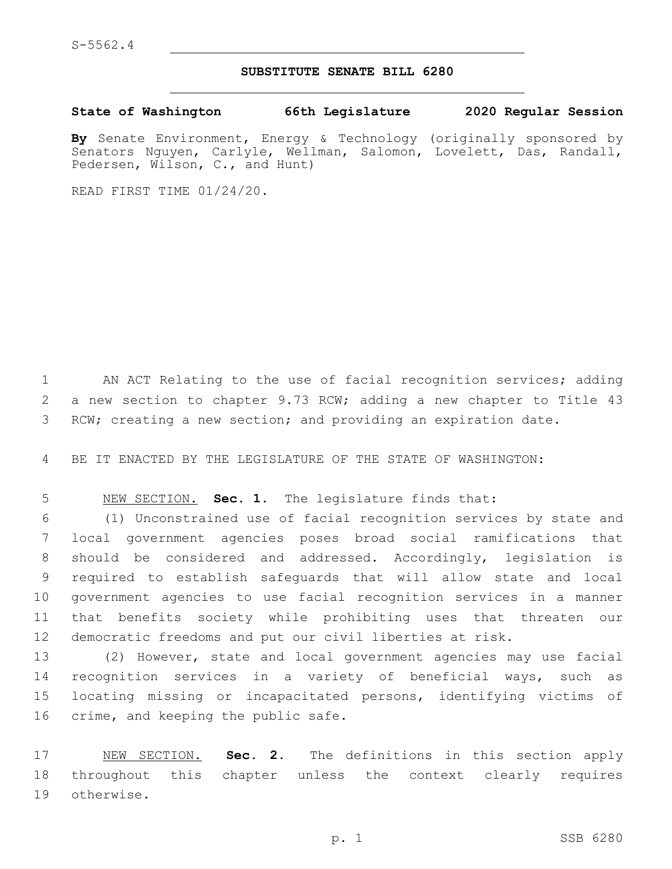## **SUBSTITUTE SENATE BILL 6280**

**State of Washington 66th Legislature 2020 Regular Session**

**By** Senate Environment, Energy & Technology (originally sponsored by Senators Nguyen, Carlyle, Wellman, Salomon, Lovelett, Das, Randall, Pedersen, Wilson, C., and Hunt)

READ FIRST TIME 01/24/20.

1 AN ACT Relating to the use of facial recognition services; adding a new section to chapter 9.73 RCW; adding a new chapter to Title 43 RCW; creating a new section; and providing an expiration date.

BE IT ENACTED BY THE LEGISLATURE OF THE STATE OF WASHINGTON:

NEW SECTION. **Sec. 1.** The legislature finds that:

 (1) Unconstrained use of facial recognition services by state and local government agencies poses broad social ramifications that should be considered and addressed. Accordingly, legislation is required to establish safeguards that will allow state and local government agencies to use facial recognition services in a manner that benefits society while prohibiting uses that threaten our democratic freedoms and put our civil liberties at risk.

 (2) However, state and local government agencies may use facial recognition services in a variety of beneficial ways, such as locating missing or incapacitated persons, identifying victims of 16 crime, and keeping the public safe.

 NEW SECTION. **Sec. 2.** The definitions in this section apply throughout this chapter unless the context clearly requires otherwise.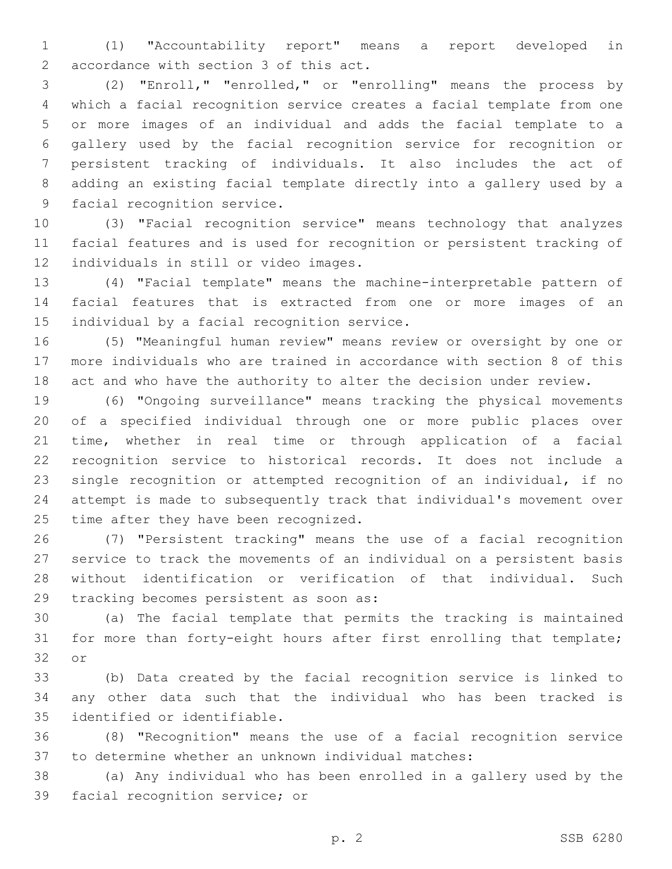(1) "Accountability report" means a report developed in 2 accordance with section 3 of this act.

 (2) "Enroll," "enrolled," or "enrolling" means the process by which a facial recognition service creates a facial template from one or more images of an individual and adds the facial template to a gallery used by the facial recognition service for recognition or persistent tracking of individuals. It also includes the act of adding an existing facial template directly into a gallery used by a 9 facial recognition service.

 (3) "Facial recognition service" means technology that analyzes facial features and is used for recognition or persistent tracking of 12 individuals in still or video images.

 (4) "Facial template" means the machine-interpretable pattern of facial features that is extracted from one or more images of an 15 individual by a facial recognition service.

 (5) "Meaningful human review" means review or oversight by one or more individuals who are trained in accordance with section 8 of this act and who have the authority to alter the decision under review.

 (6) "Ongoing surveillance" means tracking the physical movements of a specified individual through one or more public places over time, whether in real time or through application of a facial recognition service to historical records. It does not include a single recognition or attempted recognition of an individual, if no attempt is made to subsequently track that individual's movement over 25 time after they have been recognized.

 (7) "Persistent tracking" means the use of a facial recognition service to track the movements of an individual on a persistent basis without identification or verification of that individual. Such 29 tracking becomes persistent as soon as:

 (a) The facial template that permits the tracking is maintained for more than forty-eight hours after first enrolling that template; 32 or

 (b) Data created by the facial recognition service is linked to any other data such that the individual who has been tracked is 35 identified or identifiable.

 (8) "Recognition" means the use of a facial recognition service to determine whether an unknown individual matches:

 (a) Any individual who has been enrolled in a gallery used by the 39 facial recognition service; or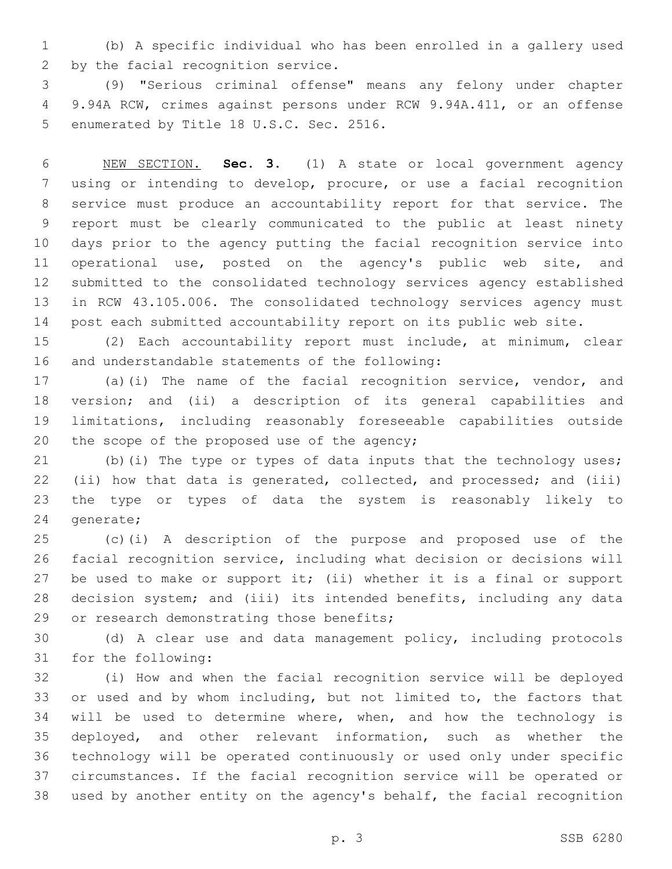(b) A specific individual who has been enrolled in a gallery used 2 by the facial recognition service.

 (9) "Serious criminal offense" means any felony under chapter 9.94A RCW, crimes against persons under RCW 9.94A.411, or an offense 5 enumerated by Title 18 U.S.C. Sec. 2516.

 NEW SECTION. **Sec. 3.** (1) A state or local government agency using or intending to develop, procure, or use a facial recognition service must produce an accountability report for that service. The report must be clearly communicated to the public at least ninety days prior to the agency putting the facial recognition service into operational use, posted on the agency's public web site, and submitted to the consolidated technology services agency established in RCW 43.105.006. The consolidated technology services agency must post each submitted accountability report on its public web site.

 (2) Each accountability report must include, at minimum, clear 16 and understandable statements of the following:

 (a)(i) The name of the facial recognition service, vendor, and version; and (ii) a description of its general capabilities and limitations, including reasonably foreseeable capabilities outside 20 the scope of the proposed use of the agency;

 (b)(i) The type or types of data inputs that the technology uses; (ii) how that data is generated, collected, and processed; and (iii) the type or types of data the system is reasonably likely to 24 generate;

 (c)(i) A description of the purpose and proposed use of the facial recognition service, including what decision or decisions will 27 be used to make or support it; (ii) whether it is a final or support decision system; and (iii) its intended benefits, including any data 29 or research demonstrating those benefits;

 (d) A clear use and data management policy, including protocols 31 for the following:

 (i) How and when the facial recognition service will be deployed or used and by whom including, but not limited to, the factors that will be used to determine where, when, and how the technology is deployed, and other relevant information, such as whether the technology will be operated continuously or used only under specific circumstances. If the facial recognition service will be operated or used by another entity on the agency's behalf, the facial recognition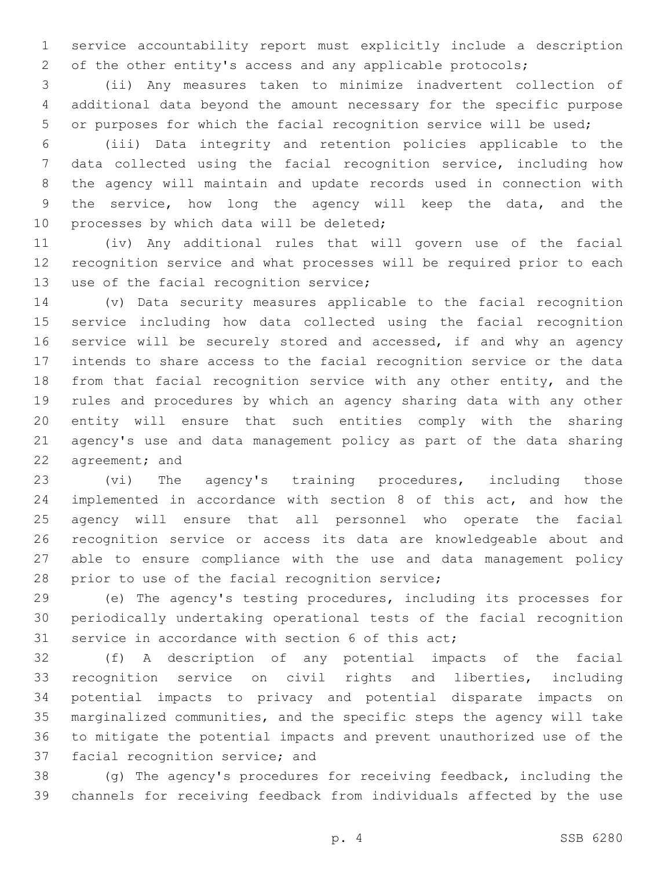service accountability report must explicitly include a description 2 of the other entity's access and any applicable protocols;

 (ii) Any measures taken to minimize inadvertent collection of additional data beyond the amount necessary for the specific purpose or purposes for which the facial recognition service will be used;

 (iii) Data integrity and retention policies applicable to the data collected using the facial recognition service, including how the agency will maintain and update records used in connection with the service, how long the agency will keep the data, and the 10 processes by which data will be deleted;

 (iv) Any additional rules that will govern use of the facial recognition service and what processes will be required prior to each 13 use of the facial recognition service;

 (v) Data security measures applicable to the facial recognition service including how data collected using the facial recognition 16 service will be securely stored and accessed, if and why an agency intends to share access to the facial recognition service or the data from that facial recognition service with any other entity, and the rules and procedures by which an agency sharing data with any other entity will ensure that such entities comply with the sharing agency's use and data management policy as part of the data sharing 22 agreement; and

 (vi) The agency's training procedures, including those implemented in accordance with section 8 of this act, and how the agency will ensure that all personnel who operate the facial recognition service or access its data are knowledgeable about and able to ensure compliance with the use and data management policy 28 prior to use of the facial recognition service;

 (e) The agency's testing procedures, including its processes for periodically undertaking operational tests of the facial recognition 31 service in accordance with section 6 of this act;

 (f) A description of any potential impacts of the facial recognition service on civil rights and liberties, including potential impacts to privacy and potential disparate impacts on marginalized communities, and the specific steps the agency will take to mitigate the potential impacts and prevent unauthorized use of the 37 facial recognition service; and

 (g) The agency's procedures for receiving feedback, including the channels for receiving feedback from individuals affected by the use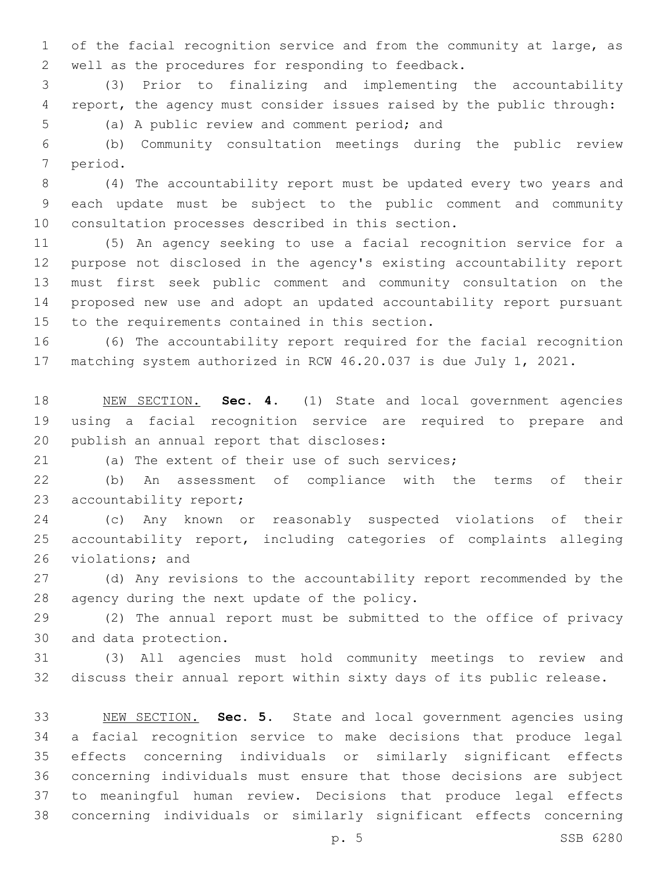of the facial recognition service and from the community at large, as 2 well as the procedures for responding to feedback.

 (3) Prior to finalizing and implementing the accountability report, the agency must consider issues raised by the public through:

5 (a) A public review and comment period; and

 (b) Community consultation meetings during the public review 7 period.

 (4) The accountability report must be updated every two years and each update must be subject to the public comment and community 10 consultation processes described in this section.

 (5) An agency seeking to use a facial recognition service for a purpose not disclosed in the agency's existing accountability report must first seek public comment and community consultation on the proposed new use and adopt an updated accountability report pursuant 15 to the requirements contained in this section.

 (6) The accountability report required for the facial recognition matching system authorized in RCW 46.20.037 is due July 1, 2021.

 NEW SECTION. **Sec. 4.** (1) State and local government agencies using a facial recognition service are required to prepare and publish an annual report that discloses:

21 (a) The extent of their use of such services;

 (b) An assessment of compliance with the terms of their 23 accountability report;

 (c) Any known or reasonably suspected violations of their accountability report, including categories of complaints alleging 26 violations; and

 (d) Any revisions to the accountability report recommended by the 28 agency during the next update of the policy.

 (2) The annual report must be submitted to the office of privacy 30 and data protection.

 (3) All agencies must hold community meetings to review and discuss their annual report within sixty days of its public release.

 NEW SECTION. **Sec. 5.** State and local government agencies using a facial recognition service to make decisions that produce legal effects concerning individuals or similarly significant effects concerning individuals must ensure that those decisions are subject to meaningful human review. Decisions that produce legal effects concerning individuals or similarly significant effects concerning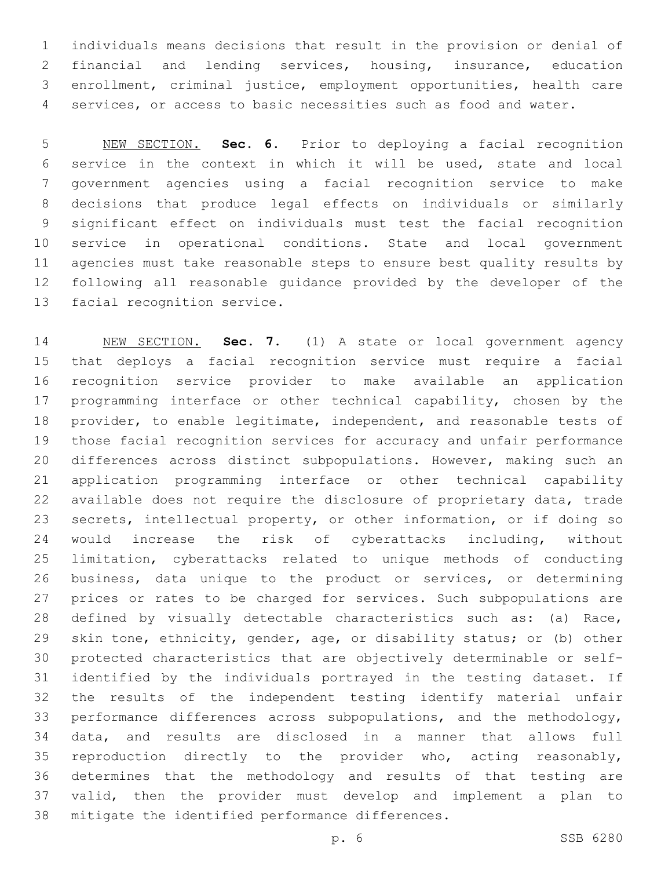individuals means decisions that result in the provision or denial of financial and lending services, housing, insurance, education enrollment, criminal justice, employment opportunities, health care services, or access to basic necessities such as food and water.

 NEW SECTION. **Sec. 6.** Prior to deploying a facial recognition service in the context in which it will be used, state and local government agencies using a facial recognition service to make decisions that produce legal effects on individuals or similarly significant effect on individuals must test the facial recognition service in operational conditions. State and local government agencies must take reasonable steps to ensure best quality results by following all reasonable guidance provided by the developer of the facial recognition service.

 NEW SECTION. **Sec. 7.** (1) A state or local government agency that deploys a facial recognition service must require a facial recognition service provider to make available an application programming interface or other technical capability, chosen by the provider, to enable legitimate, independent, and reasonable tests of those facial recognition services for accuracy and unfair performance differences across distinct subpopulations. However, making such an application programming interface or other technical capability available does not require the disclosure of proprietary data, trade secrets, intellectual property, or other information, or if doing so would increase the risk of cyberattacks including, without limitation, cyberattacks related to unique methods of conducting business, data unique to the product or services, or determining prices or rates to be charged for services. Such subpopulations are defined by visually detectable characteristics such as: (a) Race, skin tone, ethnicity, gender, age, or disability status; or (b) other protected characteristics that are objectively determinable or self- identified by the individuals portrayed in the testing dataset. If the results of the independent testing identify material unfair performance differences across subpopulations, and the methodology, data, and results are disclosed in a manner that allows full reproduction directly to the provider who, acting reasonably, determines that the methodology and results of that testing are valid, then the provider must develop and implement a plan to mitigate the identified performance differences.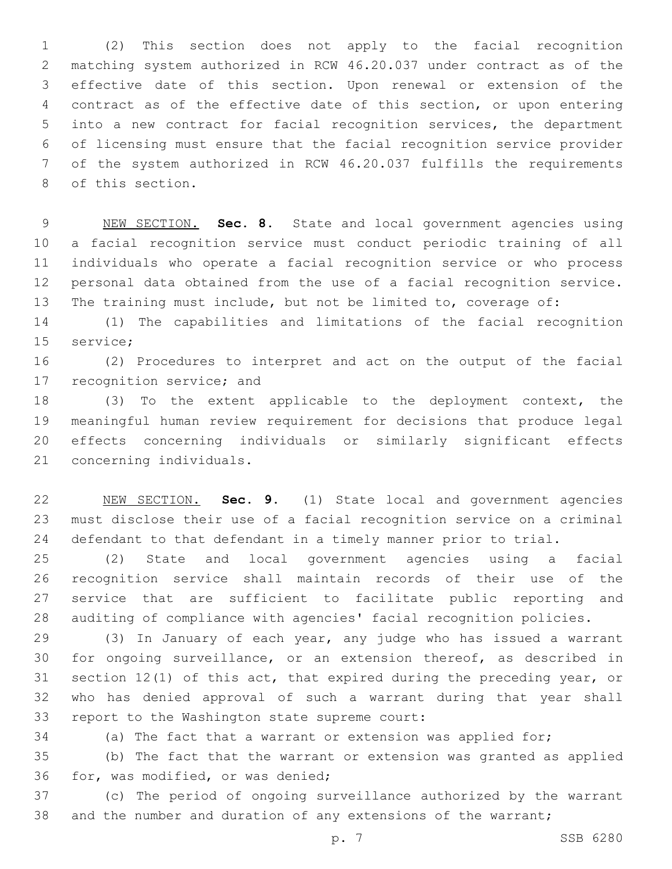(2) This section does not apply to the facial recognition matching system authorized in RCW 46.20.037 under contract as of the effective date of this section. Upon renewal or extension of the contract as of the effective date of this section, or upon entering into a new contract for facial recognition services, the department of licensing must ensure that the facial recognition service provider of the system authorized in RCW 46.20.037 fulfills the requirements 8 of this section.

 NEW SECTION. **Sec. 8.** State and local government agencies using a facial recognition service must conduct periodic training of all individuals who operate a facial recognition service or who process personal data obtained from the use of a facial recognition service. The training must include, but not be limited to, coverage of:

 (1) The capabilities and limitations of the facial recognition 15 service;

 (2) Procedures to interpret and act on the output of the facial 17 recognition service; and

 (3) To the extent applicable to the deployment context, the meaningful human review requirement for decisions that produce legal effects concerning individuals or similarly significant effects 21 concerning individuals.

 NEW SECTION. **Sec. 9.** (1) State local and government agencies must disclose their use of a facial recognition service on a criminal defendant to that defendant in a timely manner prior to trial.

 (2) State and local government agencies using a facial recognition service shall maintain records of their use of the service that are sufficient to facilitate public reporting and auditing of compliance with agencies' facial recognition policies.

 (3) In January of each year, any judge who has issued a warrant for ongoing surveillance, or an extension thereof, as described in section 12(1) of this act, that expired during the preceding year, or who has denied approval of such a warrant during that year shall 33 report to the Washington state supreme court:

(a) The fact that a warrant or extension was applied for;

 (b) The fact that the warrant or extension was granted as applied 36 for, was modified, or was denied;

 (c) The period of ongoing surveillance authorized by the warrant 38 and the number and duration of any extensions of the warrant;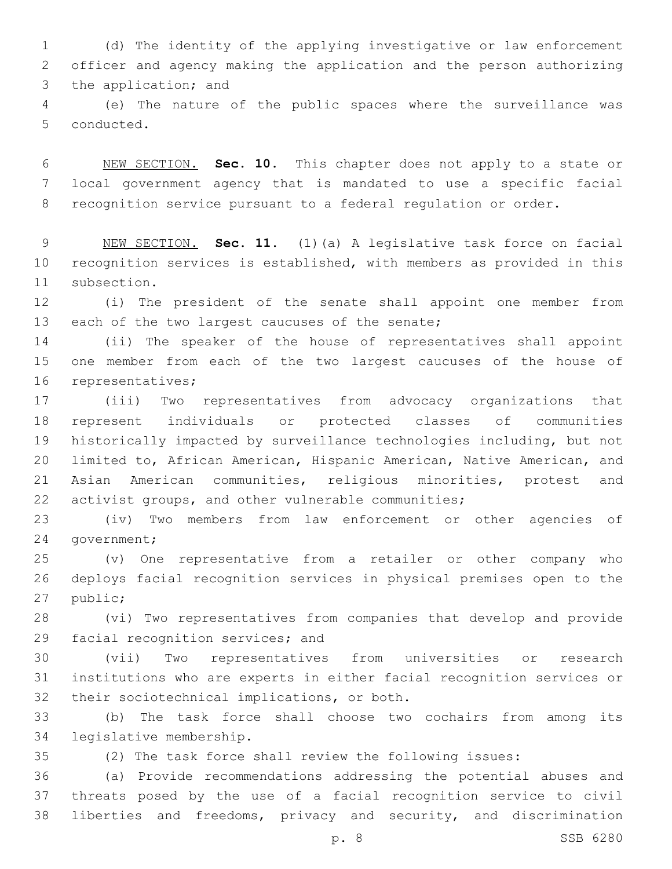(d) The identity of the applying investigative or law enforcement officer and agency making the application and the person authorizing 3 the application; and

 (e) The nature of the public spaces where the surveillance was 5 conducted.

 NEW SECTION. **Sec. 10.** This chapter does not apply to a state or local government agency that is mandated to use a specific facial recognition service pursuant to a federal regulation or order.

 NEW SECTION. **Sec. 11.** (1)(a) A legislative task force on facial recognition services is established, with members as provided in this subsection.

 (i) The president of the senate shall appoint one member from 13 each of the two largest caucuses of the senate;

 (ii) The speaker of the house of representatives shall appoint one member from each of the two largest caucuses of the house of 16 representatives;

 (iii) Two representatives from advocacy organizations that represent individuals or protected classes of communities historically impacted by surveillance technologies including, but not limited to, African American, Hispanic American, Native American, and Asian American communities, religious minorities, protest and activist groups, and other vulnerable communities;

 (iv) Two members from law enforcement or other agencies of 24 qovernment;

 (v) One representative from a retailer or other company who deploys facial recognition services in physical premises open to the 27 public;

 (vi) Two representatives from companies that develop and provide 29 facial recognition services; and

 (vii) Two representatives from universities or research institutions who are experts in either facial recognition services or 32 their sociotechnical implications, or both.

 (b) The task force shall choose two cochairs from among its 34 legislative membership.

(2) The task force shall review the following issues:

 (a) Provide recommendations addressing the potential abuses and threats posed by the use of a facial recognition service to civil liberties and freedoms, privacy and security, and discrimination

p. 8 SSB 6280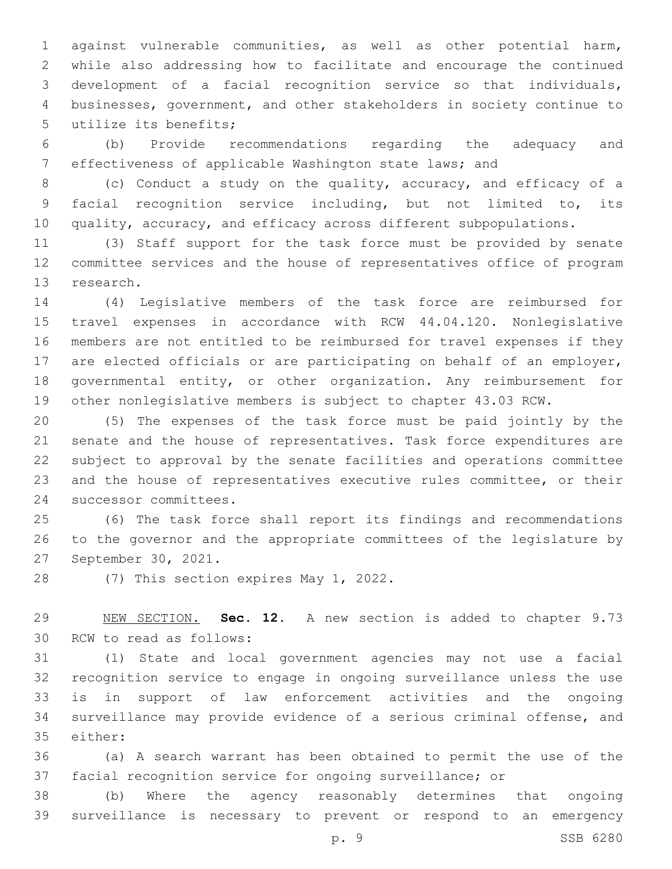against vulnerable communities, as well as other potential harm, while also addressing how to facilitate and encourage the continued development of a facial recognition service so that individuals, businesses, government, and other stakeholders in society continue to 5 utilize its benefits;

 (b) Provide recommendations regarding the adequacy and effectiveness of applicable Washington state laws; and

 (c) Conduct a study on the quality, accuracy, and efficacy of a facial recognition service including, but not limited to, its quality, accuracy, and efficacy across different subpopulations.

 (3) Staff support for the task force must be provided by senate committee services and the house of representatives office of program 13 research.

 (4) Legislative members of the task force are reimbursed for travel expenses in accordance with RCW 44.04.120. Nonlegislative members are not entitled to be reimbursed for travel expenses if they are elected officials or are participating on behalf of an employer, governmental entity, or other organization. Any reimbursement for other nonlegislative members is subject to chapter 43.03 RCW.

 (5) The expenses of the task force must be paid jointly by the senate and the house of representatives. Task force expenditures are subject to approval by the senate facilities and operations committee and the house of representatives executive rules committee, or their 24 successor committees.

 (6) The task force shall report its findings and recommendations to the governor and the appropriate committees of the legislature by 27 September 30, 2021.

28 (7) This section expires May 1, 2022.

 NEW SECTION. **Sec. 12.** A new section is added to chapter 9.73 30 RCW to read as follows:

 (1) State and local government agencies may not use a facial recognition service to engage in ongoing surveillance unless the use is in support of law enforcement activities and the ongoing surveillance may provide evidence of a serious criminal offense, and 35 either:

 (a) A search warrant has been obtained to permit the use of the facial recognition service for ongoing surveillance; or

 (b) Where the agency reasonably determines that ongoing surveillance is necessary to prevent or respond to an emergency

p. 9 SSB 6280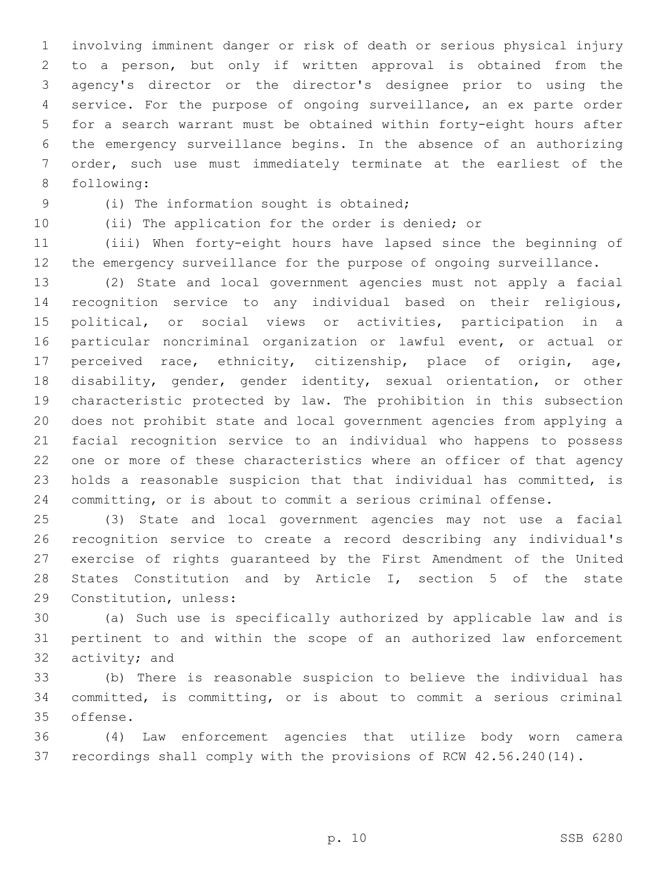involving imminent danger or risk of death or serious physical injury to a person, but only if written approval is obtained from the agency's director or the director's designee prior to using the service. For the purpose of ongoing surveillance, an ex parte order for a search warrant must be obtained within forty-eight hours after the emergency surveillance begins. In the absence of an authorizing order, such use must immediately terminate at the earliest of the 8 following:

(i) The information sought is obtained;9

(ii) The application for the order is denied; or

 (iii) When forty-eight hours have lapsed since the beginning of the emergency surveillance for the purpose of ongoing surveillance.

 (2) State and local government agencies must not apply a facial recognition service to any individual based on their religious, political, or social views or activities, participation in a particular noncriminal organization or lawful event, or actual or perceived race, ethnicity, citizenship, place of origin, age, disability, gender, gender identity, sexual orientation, or other characteristic protected by law. The prohibition in this subsection does not prohibit state and local government agencies from applying a facial recognition service to an individual who happens to possess one or more of these characteristics where an officer of that agency holds a reasonable suspicion that that individual has committed, is committing, or is about to commit a serious criminal offense.

 (3) State and local government agencies may not use a facial recognition service to create a record describing any individual's exercise of rights guaranteed by the First Amendment of the United States Constitution and by Article I, section 5 of the state 29 Constitution, unless:

 (a) Such use is specifically authorized by applicable law and is pertinent to and within the scope of an authorized law enforcement 32 activity; and

 (b) There is reasonable suspicion to believe the individual has committed, is committing, or is about to commit a serious criminal 35 offense.

 (4) Law enforcement agencies that utilize body worn camera recordings shall comply with the provisions of RCW 42.56.240(14).